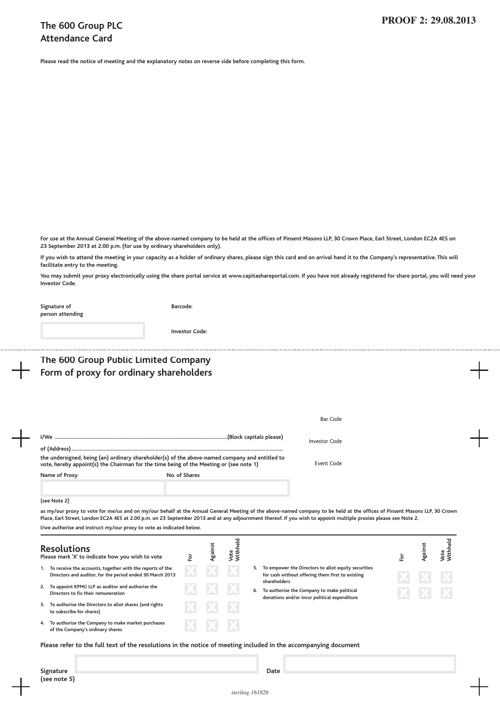## **The 600 Group PLC Attendance Card**

**Please read the notice of meeting and the explanatory notes on reverse side before completing this form.**

For use at the Annual General Meeting of the above-named company to be held at the offices of Pinsent Masons LLP, 30 Crown Place, Earl Street, London EC2A 4ES on **23 September 2013 at 2.00 p.m. (for use by ordinary shareholders only).**

If you wish to attend the meeting in your capacity as a holder of ordinary shares, please sign this card and on arrival hand it to the Company's representative. This will **facilitate entry to the meeting.**

You may submit your proxy electronically using the share portal service at www.capitashareportal.com. If you have not already registered for share portal, you will need your **Investor Code.**

| Signature of<br>person attending                                                                                                                                                                                                                                                                                                              | Barcode:              |         |                  |  |                                                                                                                            |     |         |                  |
|-----------------------------------------------------------------------------------------------------------------------------------------------------------------------------------------------------------------------------------------------------------------------------------------------------------------------------------------------|-----------------------|---------|------------------|--|----------------------------------------------------------------------------------------------------------------------------|-----|---------|------------------|
|                                                                                                                                                                                                                                                                                                                                               | <b>Investor Code:</b> |         |                  |  |                                                                                                                            |     |         |                  |
| The 600 Group Public Limited Company                                                                                                                                                                                                                                                                                                          |                       |         |                  |  |                                                                                                                            |     |         |                  |
| Form of proxy for ordinary shareholders                                                                                                                                                                                                                                                                                                       |                       |         |                  |  |                                                                                                                            |     |         |                  |
|                                                                                                                                                                                                                                                                                                                                               |                       |         |                  |  |                                                                                                                            |     |         |                  |
|                                                                                                                                                                                                                                                                                                                                               |                       |         |                  |  | Bar Code                                                                                                                   |     |         |                  |
|                                                                                                                                                                                                                                                                                                                                               |                       |         |                  |  | <b>Investor Code</b>                                                                                                       |     |         |                  |
|                                                                                                                                                                                                                                                                                                                                               |                       |         |                  |  |                                                                                                                            |     |         |                  |
| the undersigned, being (an) ordinary shareholder(s) of the above-named company and entitled to<br>vote, hereby appoint(s) the Chairman for the time being of the Meeting or (see note 1)                                                                                                                                                      |                       |         |                  |  | Event Code                                                                                                                 |     |         |                  |
| Name of Proxy                                                                                                                                                                                                                                                                                                                                 | No. of Shares         |         |                  |  |                                                                                                                            |     |         |                  |
| (see Note 2)                                                                                                                                                                                                                                                                                                                                  |                       |         |                  |  |                                                                                                                            |     |         |                  |
| as my/our proxy to vote for me/us and on my/our behalf at the Annual General Meeting of the above-named company to be held at the offices of Pinsent Masons LLP, 30 Crown<br>Place, Earl Street, London EC2A 4ES at 2.00 p.m. on 23 September 2013 and at any adjournment thereof. If you wish to appoint multiple proxies please see Note 2. |                       |         |                  |  |                                                                                                                            |     |         |                  |
| I/we authorise and instruct my/our proxy to vote as indicated below.                                                                                                                                                                                                                                                                          |                       |         |                  |  |                                                                                                                            |     |         |                  |
| <b>Resolutions</b><br>Please mark 'X' to indicate how you wish to vote                                                                                                                                                                                                                                                                        | Εòτ                   | Against | Vote<br>Withheld |  |                                                                                                                            | Fοτ | Against | Vote<br>Withheld |
| 1. To receive the accounts, together with the reports of the<br>Directors and auditor, for the period ended 30 March 2013                                                                                                                                                                                                                     |                       |         |                  |  | 5. To empower the Directors to allot equity securities<br>for cash without offering them first to existing<br>shareholders |     |         |                  |
| 2. To appoint KPMG LLP as auditor and authorise the<br>Directors to fix their remuneration                                                                                                                                                                                                                                                    |                       |         |                  |  | 6. To authorise the Company to make political<br>donations and/or incur political expenditure                              |     |         |                  |
| 3. To authorise the Directors to allot shares (and rights<br>to subscribe for shares)                                                                                                                                                                                                                                                         |                       |         |                  |  |                                                                                                                            |     |         |                  |
| 4. To authorise the Company to make market purchases<br>of the Company's ordinary shares                                                                                                                                                                                                                                                      |                       |         |                  |  |                                                                                                                            |     |         |                  |

Please refer to the full text of the resolutions in the notice of meeting included in the accompanying document

**(see note 5)**

**Signature Date**